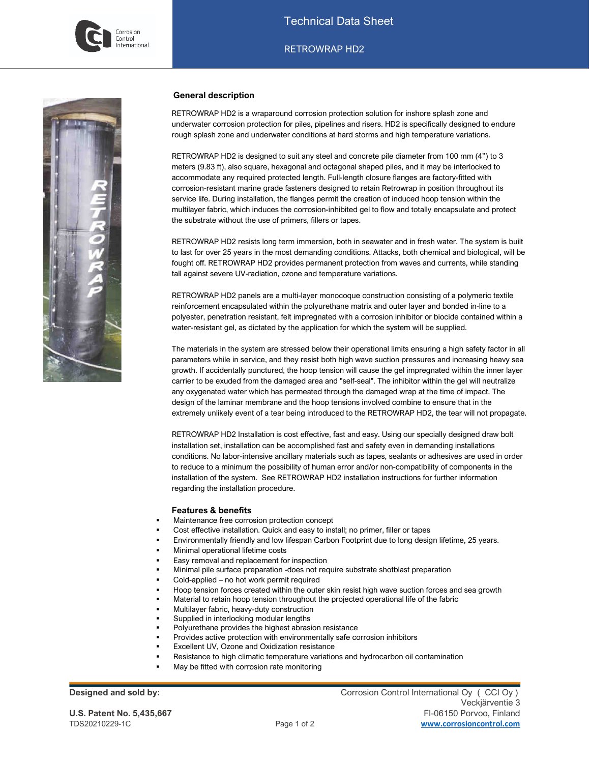

### **General description**

RETROWRAP HD2 is a wraparound corrosion protection solution for inshore splash zone and underwater corrosion protection for piles, pipelines and risers. HD2 is specifically designed to endure rough splash zone and underwater conditions at hard storms and high temperature variations.

RETROWRAP HD2 is designed to suit any steel and concrete pile diameter from 100 mm (4") to 3 meters (9.83 ft), also square, hexagonal and octagonal shaped piles, and it may be interlocked to accommodate any required protected length. Full-length closure flanges are factory-fitted with corrosion-resistant marine grade fasteners designed to retain Retrowrap in position throughout its service life. During installation, the flanges permit the creation of induced hoop tension within the multilayer fabric, which induces the corrosion-inhibited gel to flow and totally encapsulate and protect the substrate without the use of primers, fillers or tapes.

RETROWRAP HD2 resists long term immersion, both in seawater and in fresh water. The system is built to last for over 25 years in the most demanding conditions. Attacks, both chemical and biological, will be fought off. RETROWRAP HD2 provides permanent protection from waves and currents, while standing tall against severe UV-radiation, ozone and temperature variations.

RETROWRAP HD2 panels are a multi-layer monocoque construction consisting of a polymeric textile reinforcement encapsulated within the polyurethane matrix and outer layer and bonded in-line to a polyester, penetration resistant, felt impregnated with a corrosion inhibitor or biocide contained within a water-resistant gel, as dictated by the application for which the system will be supplied.

The materials in the system are stressed below their operational limits ensuring a high safety factor in all parameters while in service, and they resist both high wave suction pressures and increasing heavy sea growth. If accidentally punctured, the hoop tension will cause the gel impregnated within the inner layer carrier to be exuded from the damaged area and "self-seal". The inhibitor within the gel will neutralize any oxygenated water which has permeated through the damaged wrap at the time of impact. The design of the laminar membrane and the hoop tensions involved combine to ensure that in the extremely unlikely event of a tear being introduced to the RETROWRAP HD2, the tear will not propagate.

RETROWRAP HD2 Installation is cost effective, fast and easy. Using our specially designed draw bolt installation set, installation can be accomplished fast and safety even in demanding installations conditions. No labor-intensive ancillary materials such as tapes, sealants or adhesives are used in order to reduce to a minimum the possibility of human error and/or non-compatibility of components in the installation of the system. See RETROWRAP HD2 installation instructions for further information regarding the installation procedure.

#### **Features & benefits**

- Maintenance free corrosion protection concept
- Cost effective installation. Quick and easy to install; no primer, filler or tapes
- Environmentally friendly and low lifespan Carbon Footprint due to long design lifetime, 25 years.
- Minimal operational lifetime costs
- Easy removal and replacement for inspection
- Minimal pile surface preparation -does not require substrate shotblast preparation
- Cold-applied no hot work permit required
- Hoop tension forces created within the outer skin resist high wave suction forces and sea growth
- Material to retain hoop tension throughout the projected operational life of the fabric
- Multilayer fabric, heavy-duty construction
- Supplied in interlocking modular lengths
- Polyurethane provides the highest abrasion resistance
- Provides active protection with environmentally safe corrosion inhibitors
- Excellent UV, Ozone and Oxidization resistance
- Resistance to high climatic temperature variations and hydrocarbon oil contamination
- May be fitted with corrosion rate monitoring

**Designed and sold by:** Corrosion Control International Oy (CCI Oy) Veckjärventie 3 **U.S. Patent No. 5,435,667** FI-06150 Porvoo, Finland TDS20210229-1C Page 1 of 2 **[www.corrosioncontrol.com](http://www.corrosioncontrol.com/)**